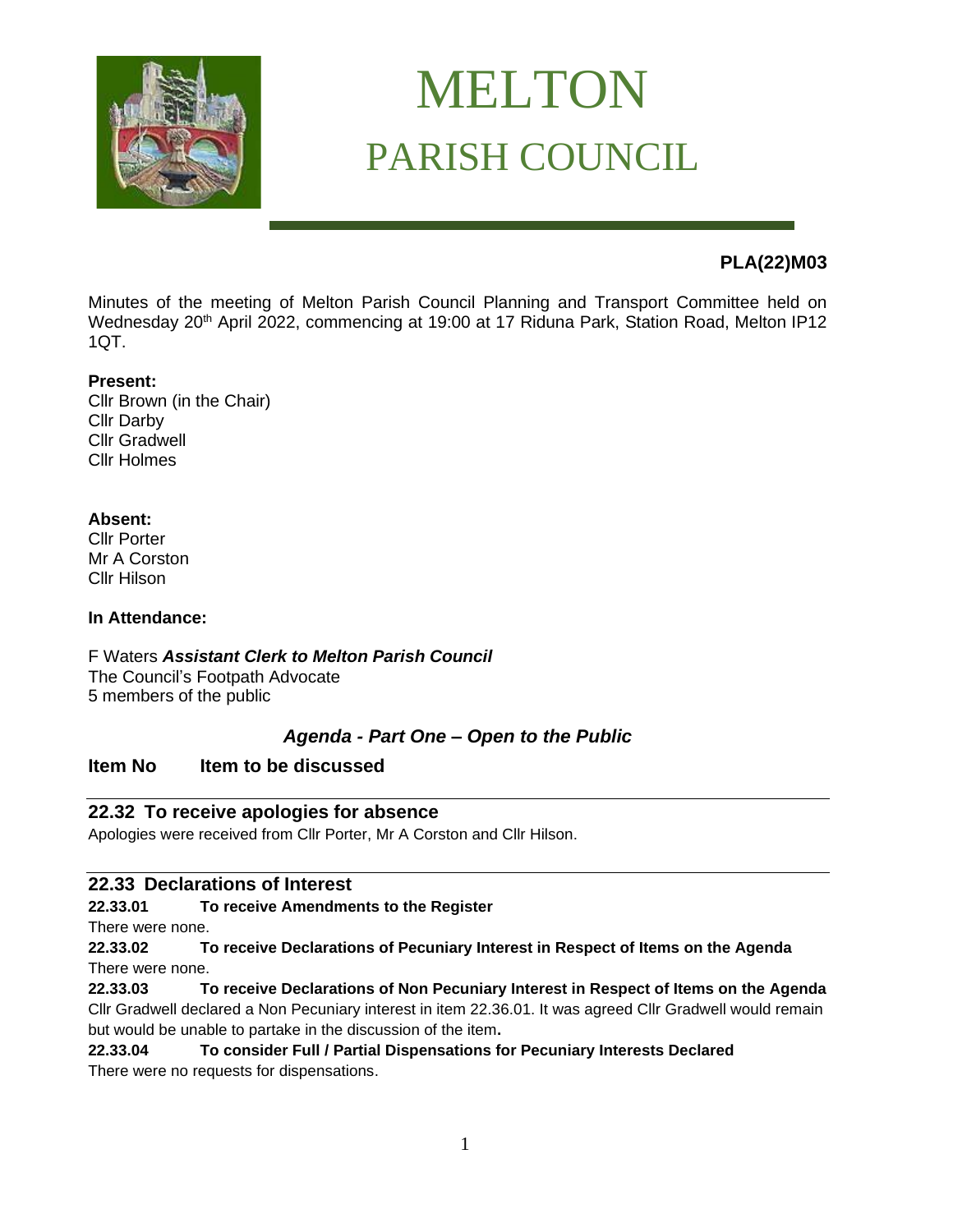

# MELTON PARISH COUNCIL

# **PLA(22)M03**

Minutes of the meeting of Melton Parish Council Planning and Transport Committee held on Wednesday 20<sup>th</sup> April 2022, commencing at 19:00 at 17 Riduna Park, Station Road, Melton IP12 1QT.

#### **Present:**

Cllr Brown (in the Chair) Cllr Darby Cllr Gradwell Cllr Holmes

#### **Absent:**

Cllr Porter Mr A Corston Cllr Hilson

#### **In Attendance:**

F Waters *Assistant Clerk to Melton Parish Council* The Council's Footpath Advocate 5 members of the public

#### *Agenda - Part One – Open to the Public*

# **Item No Item to be discussed**

#### **22.32 To receive apologies for absence**

Apologies were received from Cllr Porter, Mr A Corston and Cllr Hilson.

#### **22.33 Declarations of Interest**

#### **22.33.01 To receive Amendments to the Register**

There were none.

**22.33.02 To receive Declarations of Pecuniary Interest in Respect of Items on the Agenda**  There were none.

**22.33.03 To receive Declarations of Non Pecuniary Interest in Respect of Items on the Agenda** Cllr Gradwell declared a Non Pecuniary interest in item 22.36.01. It was agreed Cllr Gradwell would remain but would be unable to partake in the discussion of the item**.**

# **22.33.04 To consider Full / Partial Dispensations for Pecuniary Interests Declared**

There were no requests for dispensations.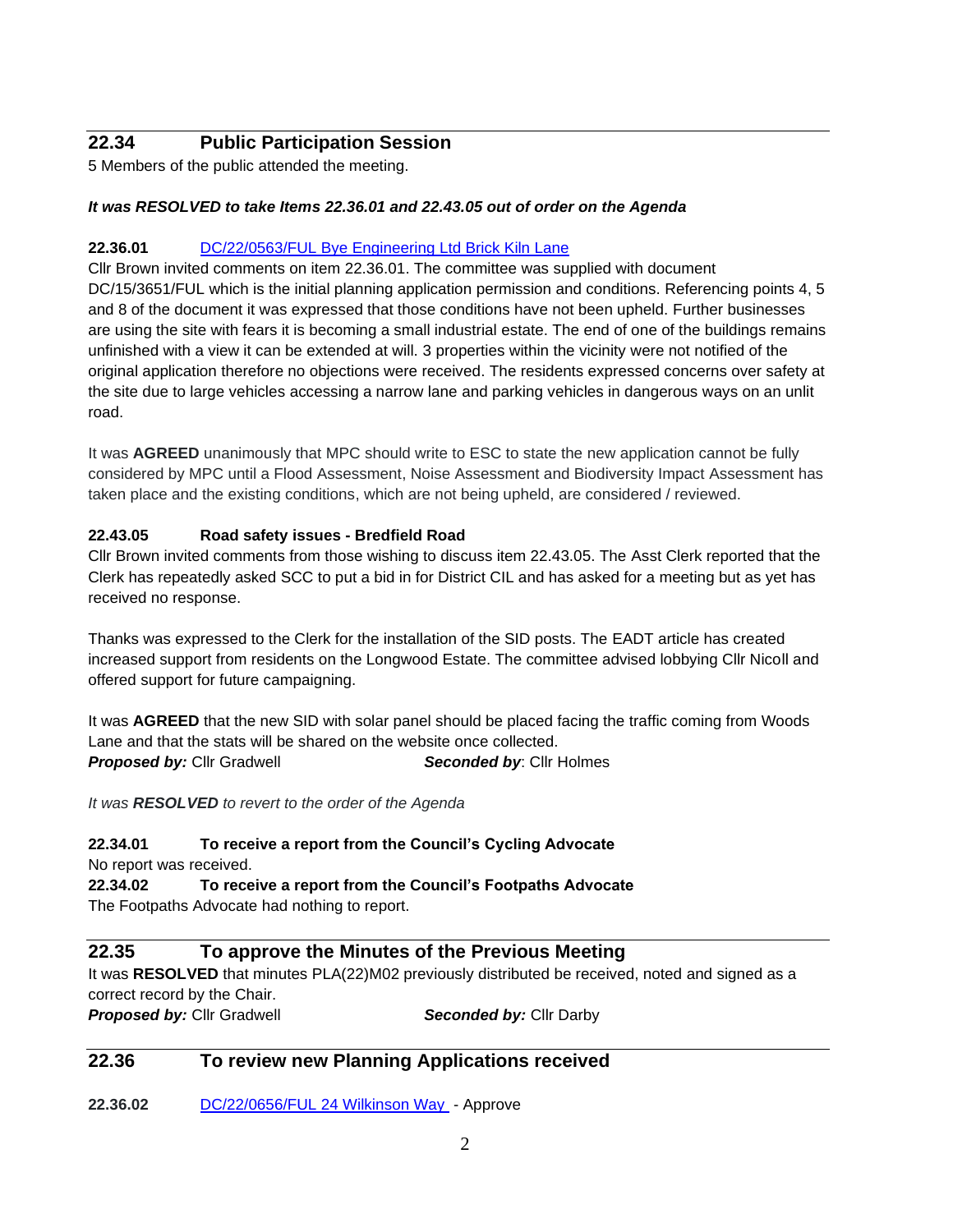# **22.34 Public Participation Session**

5 Members of the public attended the meeting.

#### *It was RESOLVED to take Items 22.36.01 and 22.43.05 out of order on the Agenda*

#### **22.36.01** [DC/22/0563/FUL Bye Engineering Ltd Brick Kiln Lane](https://publicaccess.eastsuffolk.gov.uk/online-applications/applicationDetails.do?activeTab=summary&keyVal=R74Y6GQX07400)

Cllr Brown invited comments on item 22.36.01. The committee was supplied with document DC/15/3651/FUL which is the initial planning application permission and conditions. Referencing points 4, 5 and 8 of the document it was expressed that those conditions have not been upheld. Further businesses are using the site with fears it is becoming a small industrial estate. The end of one of the buildings remains unfinished with a view it can be extended at will. 3 properties within the vicinity were not notified of the original application therefore no objections were received. The residents expressed concerns over safety at the site due to large vehicles accessing a narrow lane and parking vehicles in dangerous ways on an unlit road.

It was **AGREED** unanimously that MPC should write to ESC to state the new application cannot be fully considered by MPC until a Flood Assessment, Noise Assessment and Biodiversity Impact Assessment has taken place and the existing conditions, which are not being upheld, are considered / reviewed.

#### **22.43.05 Road safety issues - Bredfield Road**

Cllr Brown invited comments from those wishing to discuss item 22.43.05. The Asst Clerk reported that the Clerk has repeatedly asked SCC to put a bid in for District CIL and has asked for a meeting but as yet has received no response.

Thanks was expressed to the Clerk for the installation of the SID posts. The EADT article has created increased support from residents on the Longwood Estate. The committee advised lobbying Cllr Nicoll and offered support for future campaigning.

It was **AGREED** that the new SID with solar panel should be placed facing the traffic coming from Woods Lane and that the stats will be shared on the website once collected. **Proposed by:** Cllr Gradwell **Seconded by:** Cllr Holmes

*It was RESOLVED to revert to the order of the Agenda*

#### **22.34.01 To receive a report from the Council's Cycling Advocate**

No report was received.

**22.34.02 To receive a report from the Council's Footpaths Advocate** The Footpaths Advocate had nothing to report.

#### **22.35 To approve the Minutes of the Previous Meeting**

It was **RESOLVED** that minutes PLA(22)M02 previously distributed be received, noted and signed as a correct record by the Chair.

**Proposed by: Cllr Gradwell <b>Seconded by: Cllr** Darby

#### **22.36 To review new Planning Applications received**

**22.36.02** [DC/22/0656/FUL 24 Wilkinson Way](https://publicaccess.eastsuffolk.gov.uk/online-applications/applicationDetails.do?activeTab=summary&keyVal=R7GKH7QXJ5J00) - Approve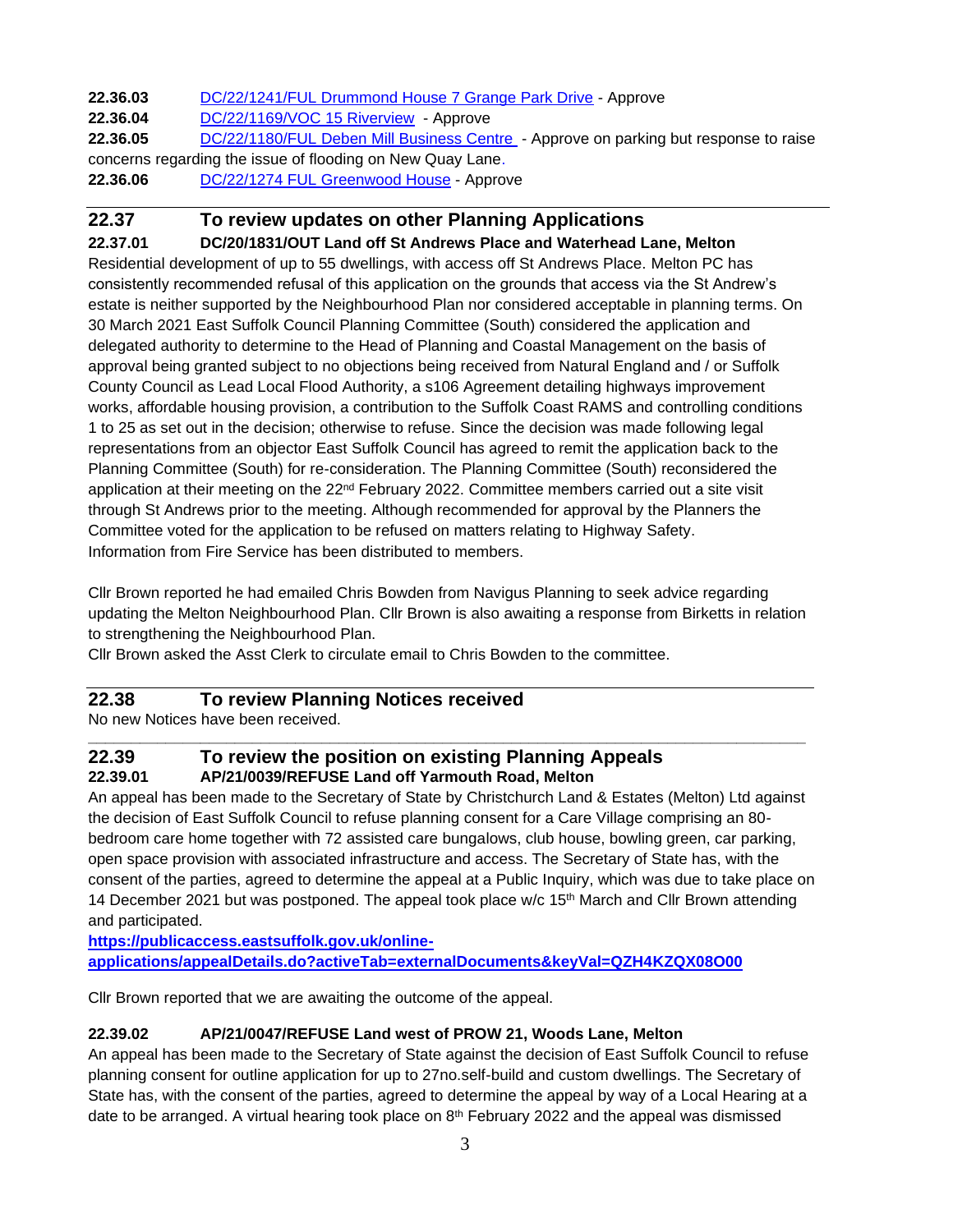**22.36.03** [DC/22/1241/FUL Drummond House 7 Grange Park Drive](https://publicaccess.eastsuffolk.gov.uk/online-applications/applicationDetails.do?activeTab=summary&keyVal=R9JSQAQXK0G00) - Approve

**22.36.04** [DC/22/1169/VOC 15 Riverview](https://publicaccess.eastsuffolk.gov.uk/online-applications/applicationDetails.do?activeTab=summary&keyVal=R99B1RQX07400) - Approve

**22.36.05** [DC/22/1180/FUL Deben Mill Business Centre](https://publicaccess.eastsuffolk.gov.uk/online-applications/applicationDetails.do?activeTab=summary&keyVal=R9AX91QXJWW00) - Approve on parking but response to raise concerns regarding the issue of flooding on New Quay Lane.

**22.36.06** [DC/22/1274 FUL Greenwood](https://publicaccess.eastsuffolk.gov.uk/online-applications/applicationDetails.do?activeTab=summary&keyVal=R9NF9AQXK2800) House - Approve

#### **22.37 To review updates on other Planning Applications**

**22.37.01 DC/20/1831/OUT Land off St Andrews Place and Waterhead Lane, Melton** Residential development of up to 55 dwellings, with access off St Andrews Place. Melton PC has consistently recommended refusal of this application on the grounds that access via the St Andrew's estate is neither supported by the Neighbourhood Plan nor considered acceptable in planning terms. On 30 March 2021 East Suffolk Council Planning Committee (South) considered the application and delegated authority to determine to the Head of Planning and Coastal Management on the basis of approval being granted subject to no objections being received from Natural England and / or Suffolk County Council as Lead Local Flood Authority, a s106 Agreement detailing highways improvement works, affordable housing provision, a contribution to the Suffolk Coast RAMS and controlling conditions 1 to 25 as set out in the decision; otherwise to refuse. Since the decision was made following legal representations from an objector East Suffolk Council has agreed to remit the application back to the Planning Committee (South) for re-consideration. The Planning Committee (South) reconsidered the application at their meeting on the 22<sup>nd</sup> February 2022. Committee members carried out a site visit through St Andrews prior to the meeting. Although recommended for approval by the Planners the Committee voted for the application to be refused on matters relating to Highway Safety. Information from Fire Service has been distributed to members.

Cllr Brown reported he had emailed Chris Bowden from Navigus Planning to seek advice regarding updating the Melton Neighbourhood Plan. Cllr Brown is also awaiting a response from Birketts in relation to strengthening the Neighbourhood Plan.

Cllr Brown asked the Asst Clerk to circulate email to Chris Bowden to the committee.

# **22.38 To review Planning Notices received**

No new Notices have been received.

#### **\_\_\_\_\_\_\_\_\_\_\_\_\_\_\_\_\_\_\_\_\_\_\_\_\_\_\_\_\_\_\_\_\_\_\_\_\_\_\_\_\_\_\_\_\_\_\_\_\_\_\_\_\_\_\_\_\_\_\_\_\_\_\_\_\_\_\_\_\_\_\_\_\_\_\_\_\_\_\_\_\_\_\_ 22.39 To review the position on existing Planning Appeals 22.39.01 AP/21/0039/REFUSE Land off Yarmouth Road, Melton**

An appeal has been made to the Secretary of State by Christchurch Land & Estates (Melton) Ltd against the decision of East Suffolk Council to refuse planning consent for a Care Village comprising an 80 bedroom care home together with 72 assisted care bungalows, club house, bowling green, car parking, open space provision with associated infrastructure and access. The Secretary of State has, with the consent of the parties, agreed to determine the appeal at a Public Inquiry, which was due to take place on 14 December 2021 but was postponed. The appeal took place  $w/c$  15<sup>th</sup> March and Cllr Brown attending and participated.

**[https://publicaccess.eastsuffolk.gov.uk/online](https://publicaccess.eastsuffolk.gov.uk/online-applications/appealDetails.do?activeTab=externalDocuments&keyVal=QZH4KZQX08O00)[applications/appealDetails.do?activeTab=externalDocuments&keyVal=QZH4KZQX08O00](https://publicaccess.eastsuffolk.gov.uk/online-applications/appealDetails.do?activeTab=externalDocuments&keyVal=QZH4KZQX08O00)**

Cllr Brown reported that we are awaiting the outcome of the appeal.

#### **22.39.02 AP/21/0047/REFUSE Land west of PROW 21, Woods Lane, Melton**

An appeal has been made to the Secretary of State against the decision of East Suffolk Council to refuse planning consent for outline application for up to 27no.self-build and custom dwellings. The Secretary of State has, with the consent of the parties, agreed to determine the appeal by way of a Local Hearing at a date to be arranged. A virtual hearing took place on  $8<sup>th</sup>$  February 2022 and the appeal was dismissed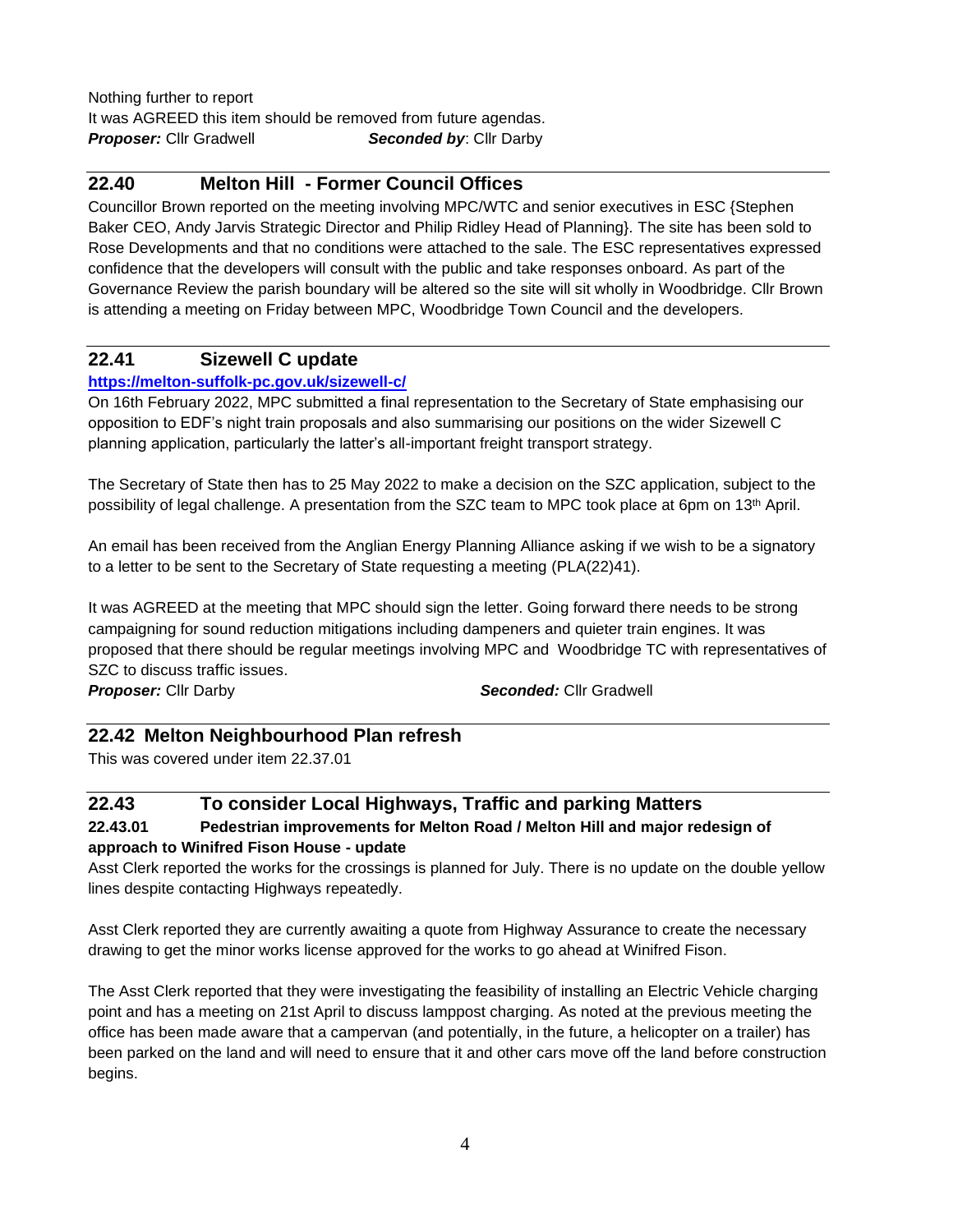Nothing further to report It was AGREED this item should be removed from future agendas. **Proposer:** Cllr Gradwell **Seconded by:** Cllr Darby

#### **22.40 Melton Hill - Former Council Offices**

Councillor Brown reported on the meeting involving MPC/WTC and senior executives in ESC {Stephen Baker CEO, Andy Jarvis Strategic Director and Philip Ridley Head of Planning}. The site has been sold to Rose Developments and that no conditions were attached to the sale. The ESC representatives expressed confidence that the developers will consult with the public and take responses onboard. As part of the Governance Review the parish boundary will be altered so the site will sit wholly in Woodbridge. Cllr Brown is attending a meeting on Friday between MPC, Woodbridge Town Council and the developers.

#### **22.41 Sizewell C update**

#### **<https://melton-suffolk-pc.gov.uk/sizewell-c/>**

On 16th February 2022, MPC submitted a final representation to the Secretary of State emphasising our opposition to EDF's night train proposals and also summarising our positions on the wider Sizewell C planning application, particularly the latter's all-important freight transport strategy.

The Secretary of State then has to 25 May 2022 to make a decision on the SZC application, subject to the possibility of legal challenge. A presentation from the SZC team to MPC took place at 6pm on 13<sup>th</sup> April.

An email has been received from the Anglian Energy Planning Alliance asking if we wish to be a signatory to a letter to be sent to the Secretary of State requesting a meeting (PLA(22)41).

It was AGREED at the meeting that MPC should sign the letter. Going forward there needs to be strong campaigning for sound reduction mitigations including dampeners and quieter train engines. It was proposed that there should be regular meetings involving MPC and Woodbridge TC with representatives of SZC to discuss traffic issues.

*Proposer:* Cllr Darby *Seconded:* Cllr Gradwell

#### **22.42 Melton Neighbourhood Plan refresh**

This was covered under item 22.37.01

#### **22.43 To consider Local Highways, Traffic and parking Matters 22.43.01 Pedestrian improvements for Melton Road / Melton Hill and major redesign of approach to Winifred Fison House - update**

Asst Clerk reported the works for the crossings is planned for July. There is no update on the double yellow lines despite contacting Highways repeatedly.

Asst Clerk reported they are currently awaiting a quote from Highway Assurance to create the necessary drawing to get the minor works license approved for the works to go ahead at Winifred Fison.

The Asst Clerk reported that they were investigating the feasibility of installing an Electric Vehicle charging point and has a meeting on 21st April to discuss lamppost charging. As noted at the previous meeting the office has been made aware that a campervan (and potentially, in the future, a helicopter on a trailer) has been parked on the land and will need to ensure that it and other cars move off the land before construction begins.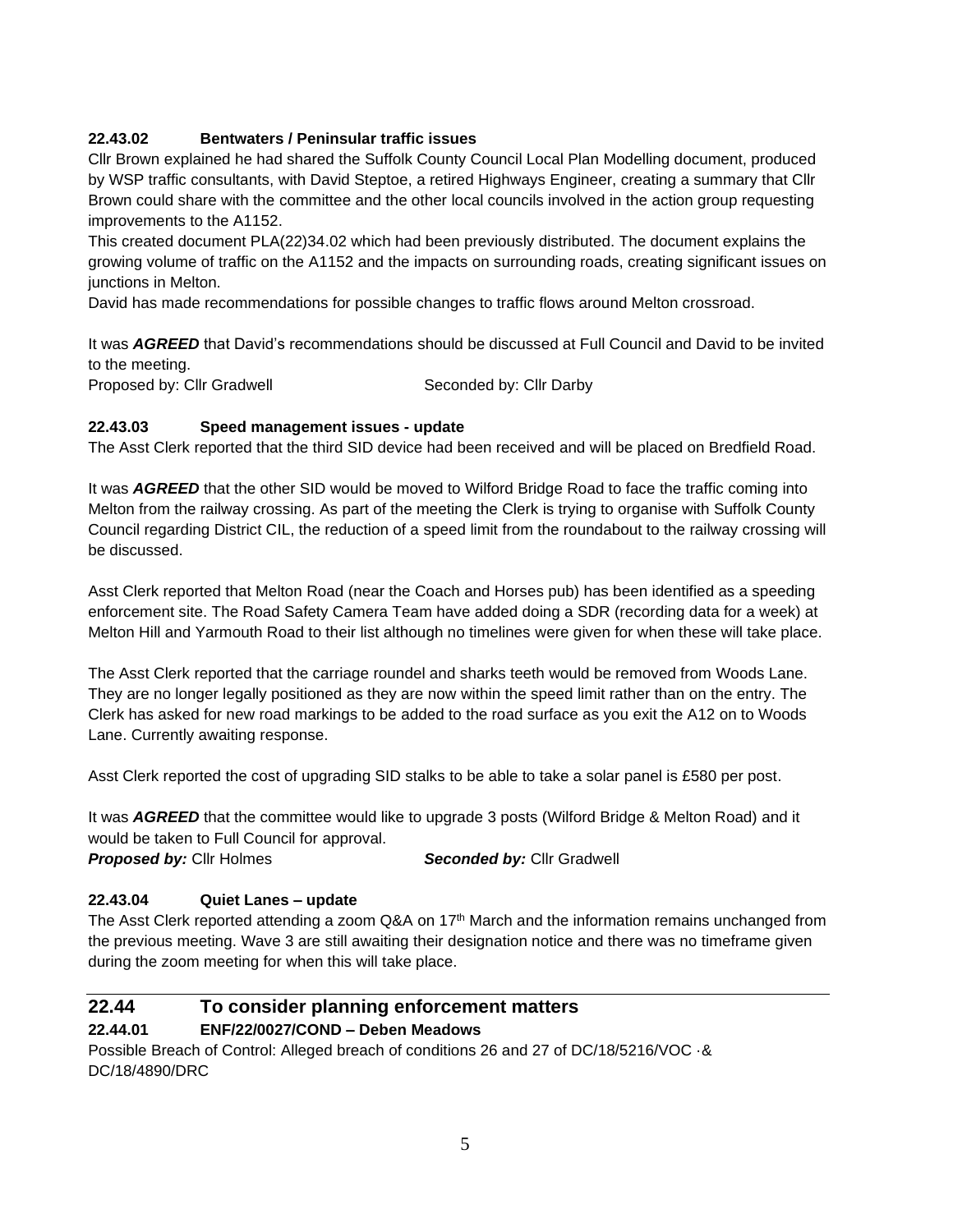#### **22.43.02 Bentwaters / Peninsular traffic issues**

Cllr Brown explained he had shared the Suffolk County Council Local Plan Modelling document, produced by WSP traffic consultants, with David Steptoe, a retired Highways Engineer, creating a summary that Cllr Brown could share with the committee and the other local councils involved in the action group requesting improvements to the A1152.

This created document PLA(22)34.02 which had been previously distributed. The document explains the growing volume of traffic on the A1152 and the impacts on surrounding roads, creating significant issues on junctions in Melton.

David has made recommendations for possible changes to traffic flows around Melton crossroad.

It was *AGREED* that David's recommendations should be discussed at Full Council and David to be invited to the meeting.

Proposed by: Cllr Gradwell Seconded by: Cllr Darby

#### **22.43.03 Speed management issues - update**

The Asst Clerk reported that the third SID device had been received and will be placed on Bredfield Road.

It was *AGREED* that the other SID would be moved to Wilford Bridge Road to face the traffic coming into Melton from the railway crossing. As part of the meeting the Clerk is trying to organise with Suffolk County Council regarding District CIL, the reduction of a speed limit from the roundabout to the railway crossing will be discussed.

Asst Clerk reported that Melton Road (near the Coach and Horses pub) has been identified as a speeding enforcement site. The Road Safety Camera Team have added doing a SDR (recording data for a week) at Melton Hill and Yarmouth Road to their list although no timelines were given for when these will take place.

The Asst Clerk reported that the carriage roundel and sharks teeth would be removed from Woods Lane. They are no longer legally positioned as they are now within the speed limit rather than on the entry. The Clerk has asked for new road markings to be added to the road surface as you exit the A12 on to Woods Lane. Currently awaiting response.

Asst Clerk reported the cost of upgrading SID stalks to be able to take a solar panel is £580 per post.

It was *AGREED* that the committee would like to upgrade 3 posts (Wilford Bridge & Melton Road) and it would be taken to Full Council for approval.

**Proposed by:** Cllr Holmes **Seconded by:** Cllr Gradwell

#### **22.43.04 Quiet Lanes – update**

The Asst Clerk reported attending a zoom Q&A on 17<sup>th</sup> March and the information remains unchanged from the previous meeting. Wave 3 are still awaiting their designation notice and there was no timeframe given during the zoom meeting for when this will take place.

#### **22.44 To consider planning enforcement matters 22.44.01 ENF/22/0027/COND – Deben Meadows**

Possible Breach of Control: Alleged breach of conditions 26 and 27 of DC/18/5216/VOC ·& DC/18/4890/DRC